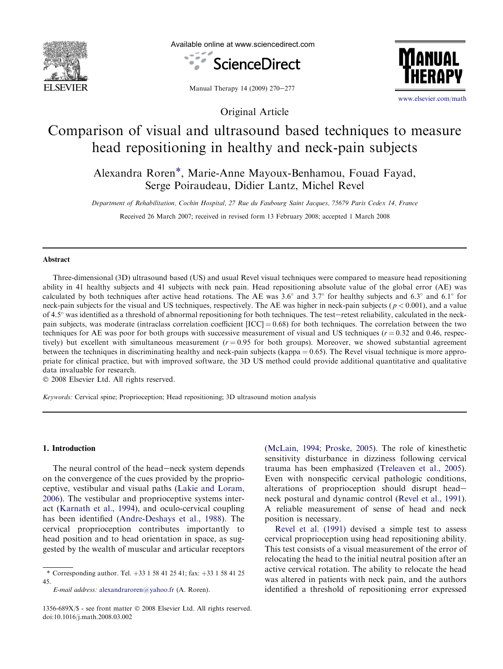

Available online at www.sciencedirect.com





Manual Therapy 14 (2009) 270-277

Original Article

<www.elsevier.com/math>

# Comparison of visual and ultrasound based techniques to measure head repositioning in healthy and neck-pain subjects

Alexandra Roren\*, Marie-Anne Mayoux-Benhamou, Fouad Fayad, Serge Poiraudeau, Didier Lantz, Michel Revel

Department of Rehabilitation, Cochin Hospital, 27 Rue du Faubourg Saint Jacques, 75679 Paris Cedex 14, France

Received 26 March 2007; received in revised form 13 February 2008; accepted 1 March 2008

## Abstract

Three-dimensional (3D) ultrasound based (US) and usual Revel visual techniques were compared to measure head repositioning ability in 41 healthy subjects and 41 subjects with neck pain. Head repositioning absolute value of the global error (AE) was calculated by both techniques after active head rotations. The AE was  $3.6^{\circ}$  and  $3.7^{\circ}$  for healthy subjects and  $6.3^{\circ}$  and  $6.1^{\circ}$  for neck-pain subjects for the visual and US techniques, respectively. The AE was higher in neck-pain subjects ( $p < 0.001$ ), and a value of 4.5° was identified as a threshold of abnormal repositioning for both techniques. The test-retest reliability, calculated in the neckpain subjects, was moderate (intraclass correlation coefficient  $[ICC] = 0.68$ ) for both techniques. The correlation between the two techniques for AE was poor for both groups with successive measurement of visual and US techniques ( $r = 0.32$  and 0.46, respectively) but excellent with simultaneous measurement  $(r = 0.95$  for both groups). Moreover, we showed substantial agreement between the techniques in discriminating healthy and neck-pain subjects (kappa  $= 0.65$ ). The Revel visual technique is more appropriate for clinical practice, but with improved software, the 3D US method could provide additional quantitative and qualitative data invaluable for research.

 $© 2008 Elsevier Ltd. All rights reserved.$ 

Keywords: Cervical spine; Proprioception; Head repositioning; 3D ultrasound motion analysis

## 1. Introduction

The neural control of the head-neck system depends on the convergence of the cues provided by the proprioceptive, vestibular and visual paths [\(Lakie and Loram,](#page-7-0) [2006\)](#page-7-0). The vestibular and proprioceptive systems interact ([Karnath et al., 1994\)](#page-7-0), and oculo-cervical coupling has been identified ([Andre-Deshays et al., 1988](#page-7-0)). The cervical proprioception contributes importantly to head position and to head orientation in space, as suggested by the wealth of muscular and articular receptors

\* Corresponding author. Tel. þ33 1 58 41 25 41; fax: þ33 1 58 41 25 45.

E-mail address: [alexandraroren@yahoo.fr](mailto:alexandraroren@yahoo.fr) (A. Roren).

([McLain, 1994; Proske, 2005\)](#page-7-0). The role of kinesthetic sensitivity disturbance in dizziness following cervical trauma has been emphasized [\(Treleaven et al., 2005\)](#page-7-0). Even with nonspecific cervical pathologic conditions, alterations of proprioception should disrupt headneck postural and dynamic control ([Revel et al., 1991\)](#page-7-0). A reliable measurement of sense of head and neck position is necessary.

[Revel et al. \(1991\)](#page-7-0) devised a simple test to assess cervical proprioception using head repositioning ability. This test consists of a visual measurement of the error of relocating the head to the initial neutral position after an active cervical rotation. The ability to relocate the head was altered in patients with neck pain, and the authors identified a threshold of repositioning error expressed

<sup>1356-689</sup>X/\$ - see front matter © 2008 Elsevier Ltd. All rights reserved. doi:10.1016/j.math.2008.03.002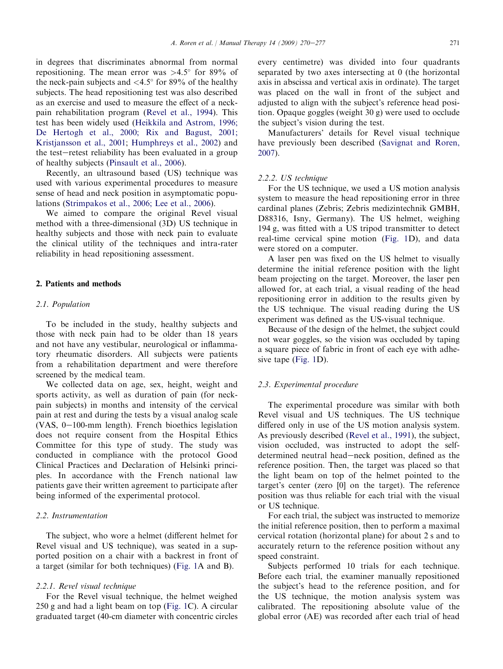in degrees that discriminates abnormal from normal repositioning. The mean error was  $>4.5^{\circ}$  for 89% of the neck-pain subjects and  $\langle 4.5^\circ$  for 89% of the healthy subjects. The head repositioning test was also described as an exercise and used to measure the effect of a neckpain rehabilitation program [\(Revel et al., 1994](#page-7-0)). This test has been widely used ([Heikkila and Astrom, 1996;](#page-7-0) [De Hertogh et al., 2000; Rix and Bagust, 2001;](#page-7-0) [Kristjansson et al., 2001;](#page-7-0) [Humphreys et al., 2002](#page-7-0)) and the test-retest reliability has been evaluated in a group of healthy subjects ([Pinsault et al., 2006\)](#page-7-0).

Recently, an ultrasound based (US) technique was used with various experimental procedures to measure sense of head and neck position in asymptomatic populations ([Strimpakos et al., 2006; Lee et al., 2006\)](#page-7-0).

We aimed to compare the original Revel visual method with a three-dimensional (3D) US technique in healthy subjects and those with neck pain to evaluate the clinical utility of the techniques and intra-rater reliability in head repositioning assessment.

## 2. Patients and methods

## 2.1. Population

To be included in the study, healthy subjects and those with neck pain had to be older than 18 years and not have any vestibular, neurological or inflammatory rheumatic disorders. All subjects were patients from a rehabilitation department and were therefore screened by the medical team.

We collected data on age, sex, height, weight and sports activity, as well as duration of pain (for neckpain subjects) in months and intensity of the cervical pain at rest and during the tests by a visual analog scale (VAS,  $0-100$ -mm length). French bioethics legislation does not require consent from the Hospital Ethics Committee for this type of study. The study was conducted in compliance with the protocol Good Clinical Practices and Declaration of Helsinki principles. In accordance with the French national law patients gave their written agreement to participate after being informed of the experimental protocol.

## 2.2. Instrumentation

The subject, who wore a helmet (different helmet for Revel visual and US technique), was seated in a supported position on a chair with a backrest in front of a target (similar for both techniques) ([Fig. 1](#page-2-0)A and B).

#### 2.2.1. Revel visual technique

For the Revel visual technique, the helmet weighed 250 g and had a light beam on top [\(Fig. 1](#page-2-0)C). A circular graduated target (40-cm diameter with concentric circles every centimetre) was divided into four quadrants separated by two axes intersecting at 0 (the horizontal axis in abscissa and vertical axis in ordinate). The target was placed on the wall in front of the subject and adjusted to align with the subject's reference head position. Opaque goggles (weight 30 g) were used to occlude the subject's vision during the test.

Manufacturers' details for Revel visual technique have previously been described [\(Savignat and Roren,](#page-7-0) [2007](#page-7-0)).

#### 2.2.2. US technique

For the US technique, we used a US motion analysis system to measure the head repositioning error in three cardinal planes (Zebris; Zebris medizintechnik GMBH, D88316, Isny, Germany). The US helmet, weighing 194 g, was fitted with a US tripod transmitter to detect real-time cervical spine motion ([Fig. 1D](#page-2-0)), and data were stored on a computer.

A laser pen was fixed on the US helmet to visually determine the initial reference position with the light beam projecting on the target. Moreover, the laser pen allowed for, at each trial, a visual reading of the head repositioning error in addition to the results given by the US technique. The visual reading during the US experiment was defined as the US-visual technique.

Because of the design of the helmet, the subject could not wear goggles, so the vision was occluded by taping a square piece of fabric in front of each eye with adhesive tape ([Fig. 1D](#page-2-0)).

#### 2.3. Experimental procedure

The experimental procedure was similar with both Revel visual and US techniques. The US technique differed only in use of the US motion analysis system. As previously described [\(Revel et al., 1991](#page-7-0)), the subject, vision occluded, was instructed to adopt the selfdetermined neutral head-neck position, defined as the reference position. Then, the target was placed so that the light beam on top of the helmet pointed to the target's center (zero [0] on the target). The reference position was thus reliable for each trial with the visual or US technique.

For each trial, the subject was instructed to memorize the initial reference position, then to perform a maximal cervical rotation (horizontal plane) for about 2 s and to accurately return to the reference position without any speed constraint.

Subjects performed 10 trials for each technique. Before each trial, the examiner manually repositioned the subject's head to the reference position, and for the US technique, the motion analysis system was calibrated. The repositioning absolute value of the global error (AE) was recorded after each trial of head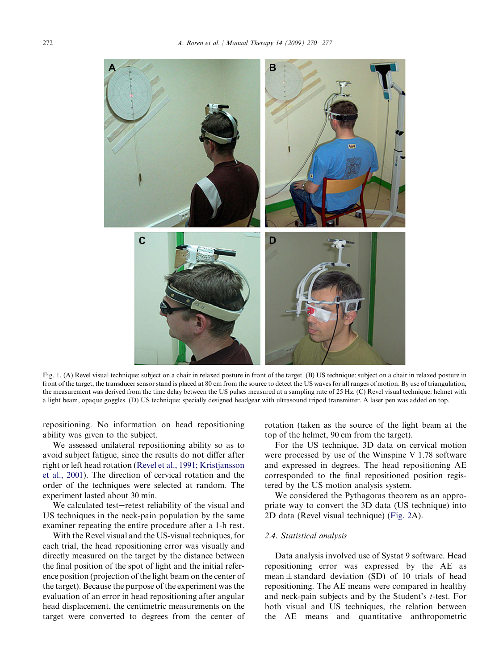<span id="page-2-0"></span>

Fig. 1. (A) Revel visual technique: subject on a chair in relaxed posture in front of the target. (B) US technique: subject on a chair in relaxed posture in front of the target, the transducer sensor stand is placed at 80 cm from the source to detect the US waves for all ranges of motion. By use of triangulation, the measurement was derived from the time delay between the US pulses measured at a sampling rate of 25 Hz. (C) Revel visual technique: helmet with a light beam, opaque goggles. (D) US technique: specially designed headgear with ultrasound tripod transmitter. A laser pen was added on top.

repositioning. No information on head repositioning ability was given to the subject.

We assessed unilateral repositioning ability so as to avoid subject fatigue, since the results do not differ after right or left head rotation ([Revel et al., 1991; Kristjansson](#page-7-0) [et al., 2001\)](#page-7-0). The direction of cervical rotation and the order of the techniques were selected at random. The experiment lasted about 30 min.

We calculated test-retest reliability of the visual and US techniques in the neck-pain population by the same examiner repeating the entire procedure after a 1-h rest.

With the Revel visual and the US-visual techniques, for each trial, the head repositioning error was visually and directly measured on the target by the distance between the final position of the spot of light and the initial reference position (projection of the light beam on the center of the target). Because the purpose of the experiment was the evaluation of an error in head repositioning after angular head displacement, the centimetric measurements on the target were converted to degrees from the center of rotation (taken as the source of the light beam at the top of the helmet, 90 cm from the target).

For the US technique, 3D data on cervical motion were processed by use of the Winspine V 1.78 software and expressed in degrees. The head repositioning AE corresponded to the final repositioned position registered by the US motion analysis system.

We considered the Pythagoras theorem as an appropriate way to convert the 3D data (US technique) into 2D data (Revel visual technique) [\(Fig. 2A](#page-3-0)).

## 2.4. Statistical analysis

Data analysis involved use of Systat 9 software. Head repositioning error was expressed by the AE as mean  $\pm$  standard deviation (SD) of 10 trials of head repositioning. The AE means were compared in healthy and neck-pain subjects and by the Student's t-test. For both visual and US techniques, the relation between the AE means and quantitative anthropometric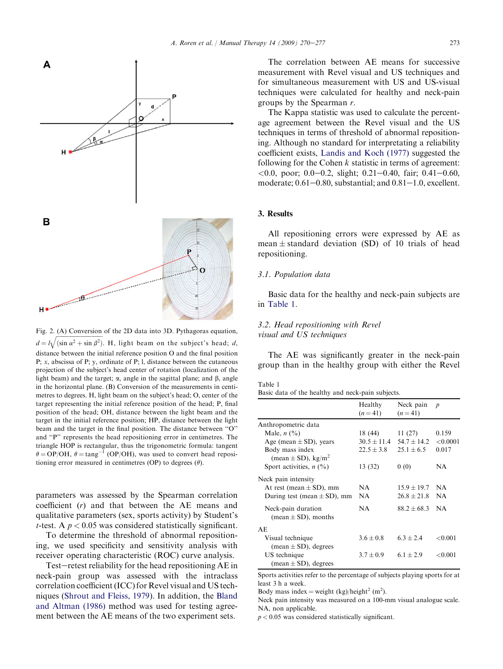<span id="page-3-0"></span>

Fig. 2. (A) Conversion of the 2D data into 3D. Pythagoras equation,  $d = l \sqrt{\left(\sin \alpha^2 + \sin \beta^2\right)}$  $\sqrt{\sin \alpha^2 + \sin \beta^2}$ . H, light beam on the subject's head; d, distance between the initial reference position O and the final position P; x, abscissa of P; y, ordinate of P; l, distance between the cutaneous projection of the subject's head center of rotation (localization of the light beam) and the target;  $\alpha$ , angle in the sagittal plane; and  $\beta$ , angle in the horizontal plane. (B) Conversion of the measurements in centimetres to degrees. H, light beam on the subject's head; O, center of the target representing the initial reference position of the head; P, final position of the head; OH, distance between the light beam and the target in the initial reference position; HP, distance between the light beam and the target in the final position. The distance between ''O'' and ''P'' represents the head repositioning error in centimetres. The triangle HOP is rectangular, thus the trigonometric formula: tangent  $\theta = OP/OH$ ,  $\theta = \tan g^{-1}$  (OP/OH), was used to convert head repositioning error measured in centimetres (OP) to degrees  $(\theta)$ .

parameters was assessed by the Spearman correlation coefficient (r) and that between the AE means and qualitative parameters (sex, sports activity) by Student's t-test. A  $p < 0.05$  was considered statistically significant.

To determine the threshold of abnormal repositioning, we used specificity and sensitivity analysis with receiver operating characteristic (ROC) curve analysis.

Test-retest reliability for the head repositioning  $AE$  in neck-pain group was assessed with the intraclass correlation coefficient (ICC) for Revel visual and US techniques [\(Shrout and Fleiss, 1979](#page-7-0)). In addition, the [Bland](#page-7-0) [and Altman \(1986\)](#page-7-0) method was used for testing agreement between the AE means of the two experiment sets.

The correlation between AE means for successive measurement with Revel visual and US techniques and for simultaneous measurement with US and US-visual techniques were calculated for healthy and neck-pain groups by the Spearman r.

The Kappa statistic was used to calculate the percentage agreement between the Revel visual and the US techniques in terms of threshold of abnormal repositioning. Although no standard for interpretating a reliability coefficient exists, [Landis and Koch \(1977\)](#page-7-0) suggested the following for the Cohen  $k$  statistic in terms of agreement:  $\langle 0.0, \text{ poor}; 0.0-0.2, \text{slight}; 0.21-0.40, \text{fair}; 0.41-0.60,$ moderate;  $0.61-0.80$ , substantial; and  $0.81-1.0$ , excellent.

#### 3. Results

All repositioning errors were expressed by AE as mean  $\pm$  standard deviation (SD) of 10 trials of head repositioning.

## 3.1. Population data

Basic data for the healthy and neck-pain subjects are in Table 1.

## 3.2. Head repositioning with Revel visual and US techniques

The AE was significantly greater in the neck-pain group than in the healthy group with either the Revel

| anje |  |
|------|--|
|------|--|

Basic data of the healthy and neck-pain subjects.

|                                                       | Healthy<br>$(n=41)$ | Neck pain<br>$(n=41)$ | $\boldsymbol{p}$ |
|-------------------------------------------------------|---------------------|-----------------------|------------------|
| Anthropometric data                                   |                     |                       |                  |
| Male, $n \left(\frac{0}{0}\right)$                    | 18(44)              | 11(27)                | 0.159            |
| Age (mean $\pm$ SD), years                            | $30.5 \pm 11.4$     | $54.7 + 14.2$         | ${<}0.0001$      |
| Body mass index<br>(mean $\pm$ SD), kg/m <sup>2</sup> | $22.5 + 3.8$        | $25.1 + 6.5$          | 0.017            |
| Sport activities, $n$ (%)                             | 13 (32)             | 0(0)                  | NA               |
| Neck pain intensity                                   |                     |                       |                  |
| At rest (mean $\pm$ SD), mm                           | NA.                 | $15.9 + 19.7$         | <b>NA</b>        |
| During test (mean $\pm$ SD), mm                       | NA.                 | $26.8 + 21.8$         | <b>NA</b>        |
| Neck-pain duration<br>(mean $\pm$ SD), months         | NA.                 | $88.2 + 68.3$         | <b>NA</b>        |
| AE                                                    |                     |                       |                  |
| Visual technique                                      | $3.6 \pm 0.8$       | $6.3 + 2.4$           | < 0.001          |
| (mean $\pm$ SD), degrees                              |                     |                       |                  |
| US technique                                          | $3.7 + 0.9$         | $6.1 + 2.9$           | ${<}0.001$       |
| $(\text{mean} \pm \text{SD})$ , degrees               |                     |                       |                  |

Sports activities refer to the percentage of subjects playing sports for at least 3 h a week.

Body mass index = weight (kg)/height<sup>2</sup> (m<sup>2</sup>).

Neck pain intensity was measured on a 100-mm visual analogue scale. NA, non applicable.

 $p < 0.05$  was considered statistically significant.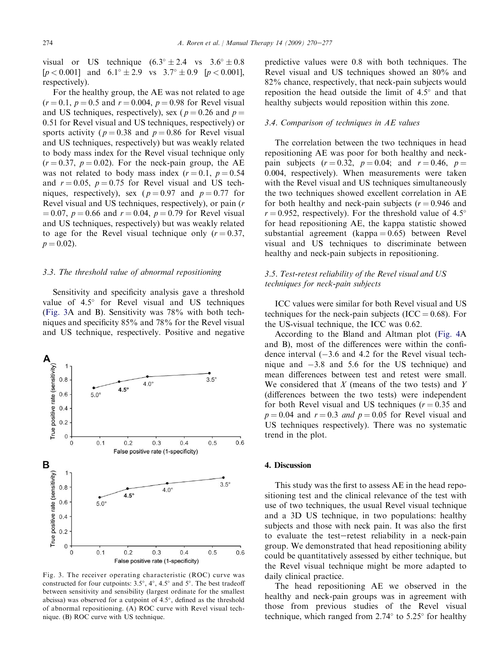visual or US technique  $(6.3^{\circ} \pm 2.4 \text{ vs } 3.6^{\circ} \pm 0.8$ [ $p < 0.001$ ] and  $6.1^{\circ} \pm 2.9$  vs  $3.7^{\circ} \pm 0.9$  [ $p < 0.001$ ], respectively).

For the healthy group, the AE was not related to age  $(r = 0.1, p = 0.5 \text{ and } r = 0.004, p = 0.98 \text{ for Revel visual}$ and US techniques, respectively), sex ( $p = 0.26$  and  $p =$ 0.51 for Revel visual and US techniques, respectively) or sports activity ( $p = 0.38$  and  $p = 0.86$  for Revel visual and US techniques, respectively) but was weakly related to body mass index for the Revel visual technique only  $(r = 0.37, p = 0.02)$ . For the neck-pain group, the AE was not related to body mass index  $(r = 0.1, p = 0.54)$ and  $r = 0.05$ ,  $p = 0.75$  for Revel visual and US techniques, respectively), sex ( $p = 0.97$  and  $p = 0.77$  for Revel visual and US techniques, respectively), or pain (r  $= 0.07$ ,  $p = 0.66$  and  $r = 0.04$ ,  $p = 0.79$  for Revel visual and US techniques, respectively) but was weakly related to age for the Revel visual technique only  $(r = 0.37$ ,  $p = 0.02$ ).

### 3.3. The threshold value of abnormal repositioning

Sensitivity and specificity analysis gave a threshold value of 4.5° for Revel visual and US techniques (Fig. 3A and B). Sensitivity was 78% with both techniques and specificity 85% and 78% for the Revel visual and US technique, respectively. Positive and negative



Fig. 3. The receiver operating characteristic (ROC) curve was constructed for four cutpoints:  $3.5^{\circ}$ ,  $4^{\circ}$ ,  $4.5^{\circ}$  and  $5^{\circ}$ . The best tradeoff between sensitivity and sensibility (largest ordinate for the smallest abcissa) was observed for a cutpoint of 4.5°, defined as the threshold of abnormal repositioning. (A) ROC curve with Revel visual technique. (B) ROC curve with US technique.

predictive values were 0.8 with both techniques. The Revel visual and US techniques showed an 80% and 82% chance, respectively, that neck-pain subjects would reposition the head outside the limit of  $4.5^\circ$  and that healthy subjects would reposition within this zone.

## 3.4. Comparison of techniques in AE values

The correlation between the two techniques in head repositioning AE was poor for both healthy and neckpain subjects  $(r = 0.32, p = 0.04;$  and  $r = 0.46, p =$ 0.004, respectively). When measurements were taken with the Revel visual and US techniques simultaneously the two techniques showed excellent correlation in AE for both healthy and neck-pain subjects  $(r = 0.946$  and  $r = 0.952$ , respectively). For the threshold value of 4.5° for head repositioning AE, the kappa statistic showed substantial agreement (kappa  $= 0.65$ ) between Revel visual and US techniques to discriminate between healthy and neck-pain subjects in repositioning.

## 3.5. Test-retest reliability of the Revel visual and US techniques for neck-pain subjects

ICC values were similar for both Revel visual and US techniques for the neck-pain subjects (ICC =  $0.68$ ). For the US-visual technique, the ICC was 0.62.

According to the Bland and Altman plot [\(Fig. 4](#page-5-0)A and B), most of the differences were within the confidence interval  $(-3.6$  and 4.2 for the Revel visual technique and  $-3.8$  and 5.6 for the US technique) and mean differences between test and retest were small. We considered that  $X$  (means of the two tests) and  $Y$ (differences between the two tests) were independent for both Revel visual and US techniques ( $r = 0.35$  and  $p = 0.04$  and  $r = 0.3$  and  $p = 0.05$  for Revel visual and US techniques respectively). There was no systematic trend in the plot.

#### 4. Discussion

This study was the first to assess AE in the head repositioning test and the clinical relevance of the test with use of two techniques, the usual Revel visual technique and a 3D US technique, in two populations: healthy subjects and those with neck pain. It was also the first to evaluate the test-retest reliability in a neck-pain group. We demonstrated that head repositioning ability could be quantitatively assessed by either technique, but the Revel visual technique might be more adapted to daily clinical practice.

The head repositioning AE we observed in the healthy and neck-pain groups was in agreement with those from previous studies of the Revel visual technique, which ranged from  $2.74^{\circ}$  to  $5.25^{\circ}$  for healthy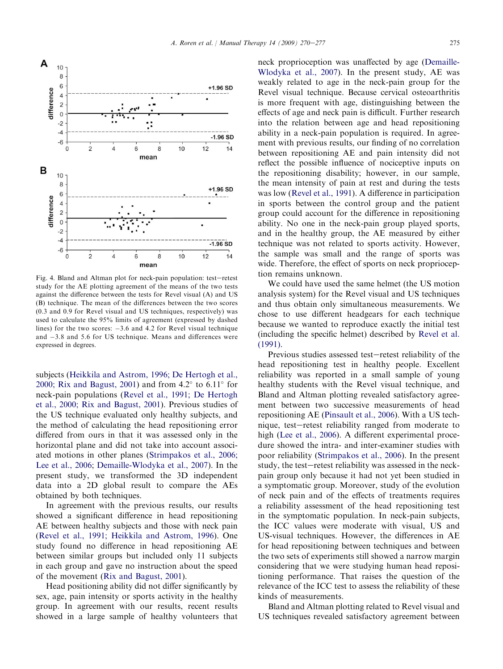<span id="page-5-0"></span>

Fig. 4. Bland and Altman plot for neck-pain population: test-retest study for the AE plotting agreement of the means of the two tests against the difference between the tests for Revel visual (A) and US (B) technique. The mean of the differences between the two scores (0.3 and 0.9 for Revel visual and US techniques, respectively) was used to calculate the 95% limits of agreement (expressed by dashed lines) for the two scores:  $-3.6$  and 4.2 for Revel visual technique and  $-3.8$  and 5.6 for US technique. Means and differences were expressed in degrees.

subjects [\(Heikkila and Astrom, 1996; De Hertogh et al.,](#page-7-0) [2000; Rix and Bagust, 2001\)](#page-7-0) and from  $4.2^{\circ}$  to  $6.11^{\circ}$  for neck-pain populations [\(Revel et al., 1991; De Hertogh](#page-7-0) [et al., 2000; Rix and Bagust, 2001](#page-7-0)). Previous studies of the US technique evaluated only healthy subjects, and the method of calculating the head repositioning error differed from ours in that it was assessed only in the horizontal plane and did not take into account associated motions in other planes ([Strimpakos et al., 2006;](#page-7-0) [Lee et al., 2006;](#page-7-0) [Demaille-Wlodyka et al., 2007](#page-7-0)). In the present study, we transformed the 3D independent data into a 2D global result to compare the AEs obtained by both techniques.

In agreement with the previous results, our results showed a significant difference in head repositioning AE between healthy subjects and those with neck pain ([Revel et al., 1991; Heikkila and Astrom, 1996](#page-7-0)). One study found no difference in head repositioning AE between similar groups but included only 11 subjects in each group and gave no instruction about the speed of the movement [\(Rix and Bagust, 2001\)](#page-7-0).

Head positioning ability did not differ significantly by sex, age, pain intensity or sports activity in the healthy group. In agreement with our results, recent results showed in a large sample of healthy volunteers that neck proprioception was unaffected by age ([Demaille-](#page-7-0)[Wlodyka et al., 2007\)](#page-7-0). In the present study, AE was weakly related to age in the neck-pain group for the Revel visual technique. Because cervical osteoarthritis is more frequent with age, distinguishing between the effects of age and neck pain is difficult. Further research into the relation between age and head repositioning ability in a neck-pain population is required. In agreement with previous results, our finding of no correlation between repositioning AE and pain intensity did not reflect the possible influence of nociceptive inputs on the repositioning disability; however, in our sample, the mean intensity of pain at rest and during the tests was low ([Revel et al., 1991](#page-7-0)). A difference in participation in sports between the control group and the patient group could account for the difference in repositioning ability. No one in the neck-pain group played sports, and in the healthy group, the AE measured by either technique was not related to sports activity. However, the sample was small and the range of sports was wide. Therefore, the effect of sports on neck proprioception remains unknown.

We could have used the same helmet (the US motion analysis system) for the Revel visual and US techniques and thus obtain only simultaneous measurements. We chose to use different headgears for each technique because we wanted to reproduce exactly the initial test (including the specific helmet) described by [Revel et al.](#page-7-0) [\(1991\)](#page-7-0).

Previous studies assessed test-retest reliability of the head repositioning test in healthy people. Excellent reliability was reported in a small sample of young healthy students with the Revel visual technique, and Bland and Altman plotting revealed satisfactory agreement between two successive measurements of head repositioning AE [\(Pinsault et al., 2006](#page-7-0)). With a US technique, test-retest reliability ranged from moderate to high [\(Lee et al., 2006\)](#page-7-0). A different experimental procedure showed the intra- and inter-examiner studies with poor reliability [\(Strimpakos et al., 2006\)](#page-7-0). In the present study, the test-retest reliability was assessed in the neckpain group only because it had not yet been studied in a symptomatic group. Moreover, study of the evolution of neck pain and of the effects of treatments requires a reliability assessment of the head repositioning test in the symptomatic population. In neck-pain subjects, the ICC values were moderate with visual, US and US-visual techniques. However, the differences in AE for head repositioning between techniques and between the two sets of experiments still showed a narrow margin considering that we were studying human head repositioning performance. That raises the question of the relevance of the ICC test to assess the reliability of these kinds of measurements.

Bland and Altman plotting related to Revel visual and US techniques revealed satisfactory agreement between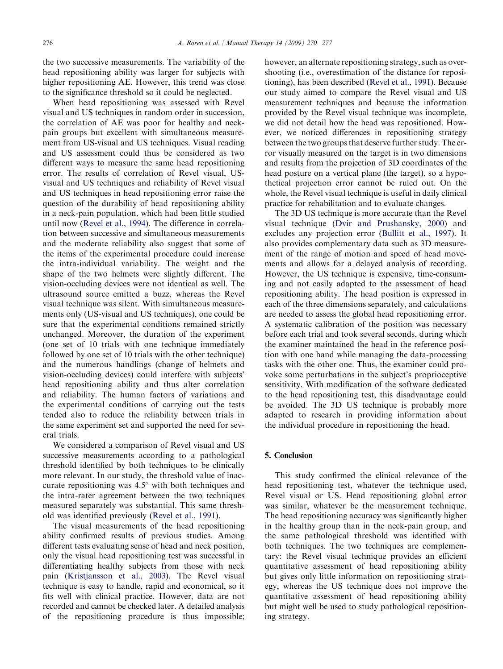the two successive measurements. The variability of the head repositioning ability was larger for subjects with higher repositioning AE. However, this trend was close to the significance threshold so it could be neglected.

When head repositioning was assessed with Revel visual and US techniques in random order in succession, the correlation of AE was poor for healthy and neckpain groups but excellent with simultaneous measurement from US-visual and US techniques. Visual reading and US assessment could thus be considered as two different ways to measure the same head repositioning error. The results of correlation of Revel visual, USvisual and US techniques and reliability of Revel visual and US techniques in head repositioning error raise the question of the durability of head repositioning ability in a neck-pain population, which had been little studied until now [\(Revel et al., 1994](#page-7-0)). The difference in correlation between successive and simultaneous measurements and the moderate reliability also suggest that some of the items of the experimental procedure could increase the intra-individual variability. The weight and the shape of the two helmets were slightly different. The vision-occluding devices were not identical as well. The ultrasound source emitted a buzz, whereas the Revel visual technique was silent. With simultaneous measurements only (US-visual and US techniques), one could be sure that the experimental conditions remained strictly unchanged. Moreover, the duration of the experiment (one set of 10 trials with one technique immediately followed by one set of 10 trials with the other technique) and the numerous handlings (change of helmets and vision-occluding devices) could interfere with subjects' head repositioning ability and thus alter correlation and reliability. The human factors of variations and the experimental conditions of carrying out the tests tended also to reduce the reliability between trials in the same experiment set and supported the need for several trials.

We considered a comparison of Revel visual and US successive measurements according to a pathological threshold identified by both techniques to be clinically more relevant. In our study, the threshold value of inaccurate repositioning was  $4.5^\circ$  with both techniques and the intra-rater agreement between the two techniques measured separately was substantial. This same threshold was identified previously [\(Revel et al., 1991](#page-7-0)).

The visual measurements of the head repositioning ability confirmed results of previous studies. Among different tests evaluating sense of head and neck position, only the visual head repositioning test was successful in differentiating healthy subjects from those with neck pain [\(Kristjansson et al., 2003](#page-7-0)). The Revel visual technique is easy to handle, rapid and economical, so it fits well with clinical practice. However, data are not recorded and cannot be checked later. A detailed analysis of the repositioning procedure is thus impossible; however, an alternate repositioning strategy, such as overshooting (i.e., overestimation of the distance for repositioning), has been described [\(Revel et al., 1991](#page-7-0)). Because our study aimed to compare the Revel visual and US measurement techniques and because the information provided by the Revel visual technique was incomplete, we did not detail how the head was repositioned. However, we noticed differences in repositioning strategy between the two groups that deserve further study. The error visually measured on the target is in two dimensions and results from the projection of 3D coordinates of the head posture on a vertical plane (the target), so a hypothetical projection error cannot be ruled out. On the whole, the Revel visual technique is useful in daily clinical practice for rehabilitation and to evaluate changes.

The 3D US technique is more accurate than the Revel visual technique [\(Dvir and Prushansky, 2000](#page-7-0)) and excludes any projection error [\(Bullitt et al., 1997\)](#page-7-0). It also provides complementary data such as 3D measurement of the range of motion and speed of head movements and allows for a delayed analysis of recording. However, the US technique is expensive, time-consuming and not easily adapted to the assessment of head repositioning ability. The head position is expressed in each of the three dimensions separately, and calculations are needed to assess the global head repositioning error. A systematic calibration of the position was necessary before each trial and took several seconds, during which the examiner maintained the head in the reference position with one hand while managing the data-processing tasks with the other one. Thus, the examiner could provoke some perturbations in the subject's proprioceptive sensitivity. With modification of the software dedicated to the head repositioning test, this disadvantage could be avoided. The 3D US technique is probably more adapted to research in providing information about the individual procedure in repositioning the head.

## 5. Conclusion

This study confirmed the clinical relevance of the head repositioning test, whatever the technique used, Revel visual or US. Head repositioning global error was similar, whatever be the measurement technique. The head repositioning accuracy was significantly higher in the healthy group than in the neck-pain group, and the same pathological threshold was identified with both techniques. The two techniques are complementary: the Revel visual technique provides an efficient quantitative assessment of head repositioning ability but gives only little information on repositioning strategy, whereas the US technique does not improve the quantitative assessment of head repositioning ability but might well be used to study pathological repositioning strategy.